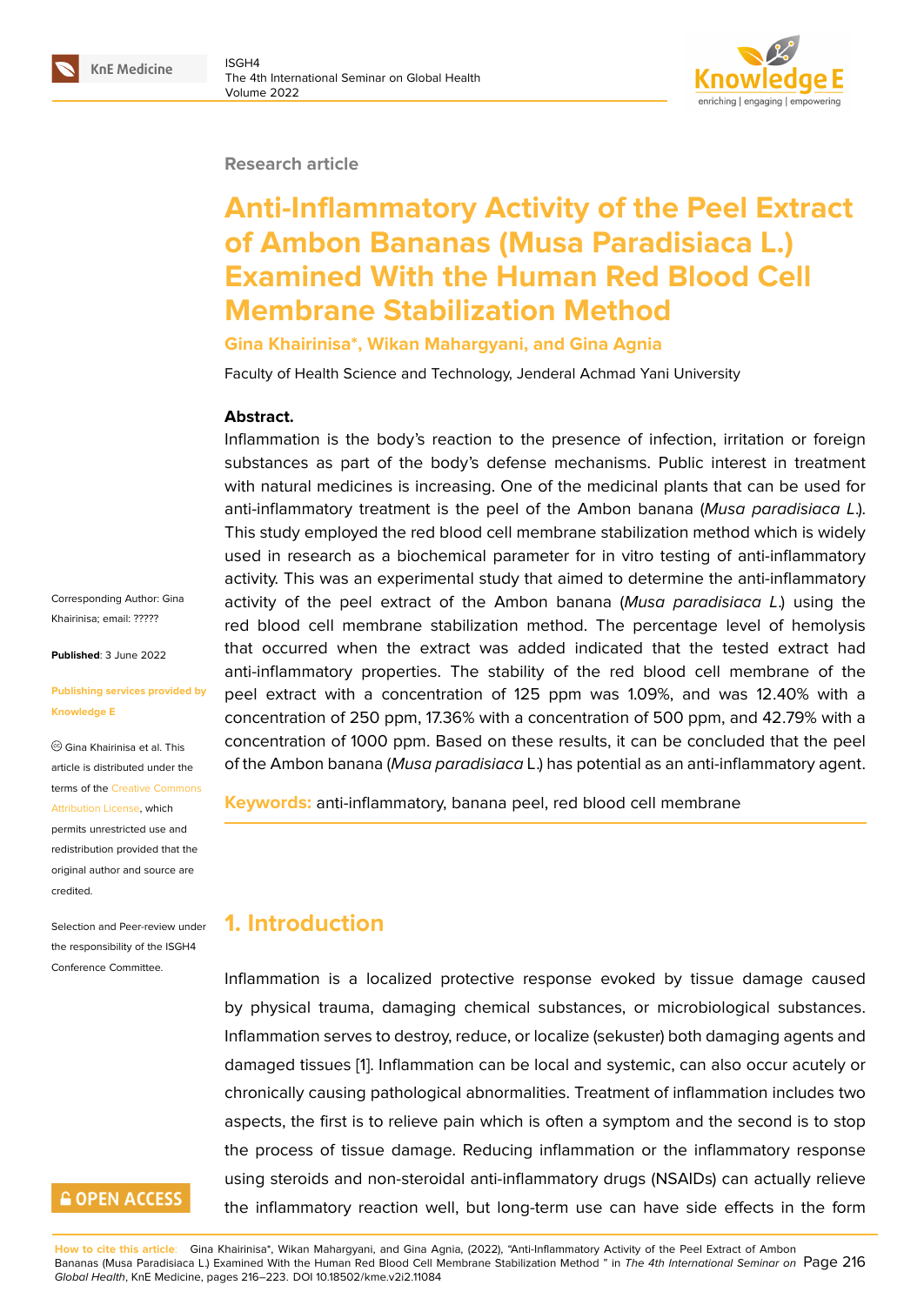#### **Research article**

# **Anti-Inflammatory Activity of the Peel Extract of Ambon Bananas (Musa Paradisiaca L.) Examined With the Human Red Blood Cell Membrane Stabilization Method**

### **Gina Khairinisa\*, Wikan Mahargyani, and Gina Agnia**

Faculty of Health Science and Technology, Jenderal Achmad Yani University

#### **Abstract.**

Inflammation is the body's reaction to the presence of infection, irritation or foreign substances as part of the body's defense mechanisms. Public interest in treatment with natural medicines is increasing. One of the medicinal plants that can be used for anti-inflammatory treatment is the peel of the Ambon banana (*Musa paradisiaca L*.). This study employed the red blood cell membrane stabilization method which is widely used in research as a biochemical parameter for in vitro testing of anti-inflammatory activity. This was an experimental study that aimed to determine the anti-inflammatory activity of the peel extract of the Ambon banana (*Musa paradisiaca L*.) using the red blood cell membrane stabilization method. The percentage level of hemolysis that occurred when the extract was added indicated that the tested extract had anti-inflammatory properties. The stability of the red blood cell membrane of the peel extract with a concentration of 125 ppm was 1.09%, and was 12.40% with a concentration of 250 ppm, 17.36% with a concentration of 500 ppm, and 42.79% with a concentration of 1000 ppm. Based on these results, it can be concluded that the peel of the Ambon banana (*Musa paradisiaca* L.) has potential as an anti-inflammatory agent.

**Keywords:** anti-inflammatory, banana peel, red blood cell membrane

# **1. Introduction**

Inflammation is a localized protective response evoked by tissue damage caused by physical trauma, damaging chemical substances, or microbiological substances. Inflammation serves to destroy, reduce, or localize (sekuster) both damaging agents and damaged tissues [1]. Inflammation can be local and systemic, can also occur acutely or chronically causing pathological abnormalities. Treatment of inflammation includes two aspects, the first is to relieve pain which is often a symptom and the second is to stop the process of tis[su](#page-6-0)e damage. Reducing inflammation or the inflammatory response using steroids and non-steroidal anti-inflammatory drugs (NSAIDs) can actually relieve the inflammatory reaction well, but long-term use can have side effects in the form

**How to cite this article**: Gina Khairinisa\*, Wikan Mahargyani, and Gina Agnia, (2022), "Anti-Inflammatory Activity of the Peel Extract of Ambon Bananas (Musa Paradisiaca L.) Examined With the Human Red Blood Cell Membrane Stabilization Method " in *The 4th International Seminar on* Page 216 *Global Health*, KnE Medicine, pages 216–223. DOI 10.18502/kme.v2i2.11084

Corresponding Author: Gina Khairinisa; email: ?????

**Published**: 3 June 2022

#### **Publishing servi[ces pr](mailto:?????)ovided by Knowledge E**

Gina Khairinisa et al. This article is distributed under the terms of the Creative Commons Attribution License, which permits unrestricted use and redistribution provided that the

original auth[or and source are](https://creativecommons.org/licenses/by/4.0/)

[credited.](https://creativecommons.org/licenses/by/4.0/)

Selection and Peer-review under the responsibility of the ISGH4 Conference Committee.

# **GOPEN ACCESS**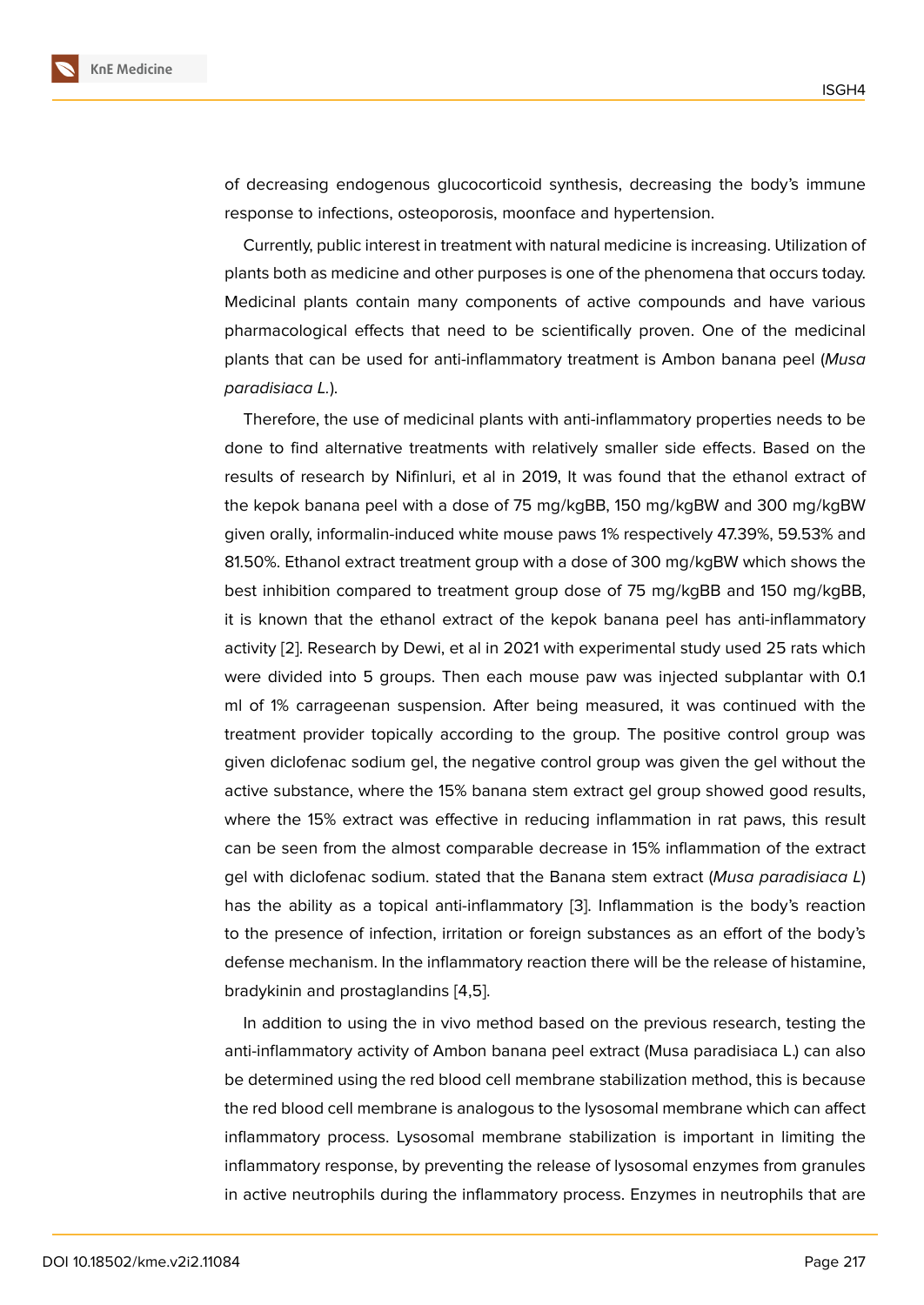of decreasing endogenous glucocorticoid synthesis, decreasing the body's immune response to infections, osteoporosis, moonface and hypertension.

Currently, public interest in treatment with natural medicine is increasing. Utilization of plants both as medicine and other purposes is one of the phenomena that occurs today. Medicinal plants contain many components of active compounds and have various pharmacological effects that need to be scientifically proven. One of the medicinal plants that can be used for anti-inflammatory treatment is Ambon banana peel (*Musa paradisiaca L.*).

Therefore, the use of medicinal plants with anti-inflammatory properties needs to be done to find alternative treatments with relatively smaller side effects. Based on the results of research by Nifinluri, et al in 2019, It was found that the ethanol extract of the kepok banana peel with a dose of 75 mg/kgBB, 150 mg/kgBW and 300 mg/kgBW given orally, informalin-induced white mouse paws 1% respectively 47.39%, 59.53% and 81.50%. Ethanol extract treatment group with a dose of 300 mg/kgBW which shows the best inhibition compared to treatment group dose of 75 mg/kgBB and 150 mg/kgBB, it is known that the ethanol extract of the kepok banana peel has anti-inflammatory activity [2]. Research by Dewi, et al in 2021 with experimental study used 25 rats which were divided into 5 groups. Then each mouse paw was injected subplantar with 0.1 ml of 1% carrageenan suspension. After being measured, it was continued with the treatme[nt](#page-6-1) provider topically according to the group. The positive control group was given diclofenac sodium gel, the negative control group was given the gel without the active substance, where the 15% banana stem extract gel group showed good results, where the 15% extract was effective in reducing inflammation in rat paws, this result can be seen from the almost comparable decrease in 15% inflammation of the extract gel with diclofenac sodium. stated that the Banana stem extract (*Musa paradisiaca L*) has the ability as a topical anti-inflammatory [3]. Inflammation is the body's reaction to the presence of infection, irritation or foreign substances as an effort of the body's defense mechanism. In the inflammatory reaction there will be the release of histamine, bradykinin and prostaglandins [4,5].

In addition to using the in vivo method based on the previous research, testing the anti-inflammatory activity of Ambon banana peel extract (Musa paradisiaca L.) can also be determined using the red blood cell membrane stabilization method, this is because the red blood cell membrane is analogous to the lysosomal membrane which can affect inflammatory process. Lysosomal membrane stabilization is important in limiting the inflammatory response, by preventing the release of lysosomal enzymes from granules in active neutrophils during the inflammatory process. Enzymes in neutrophils that are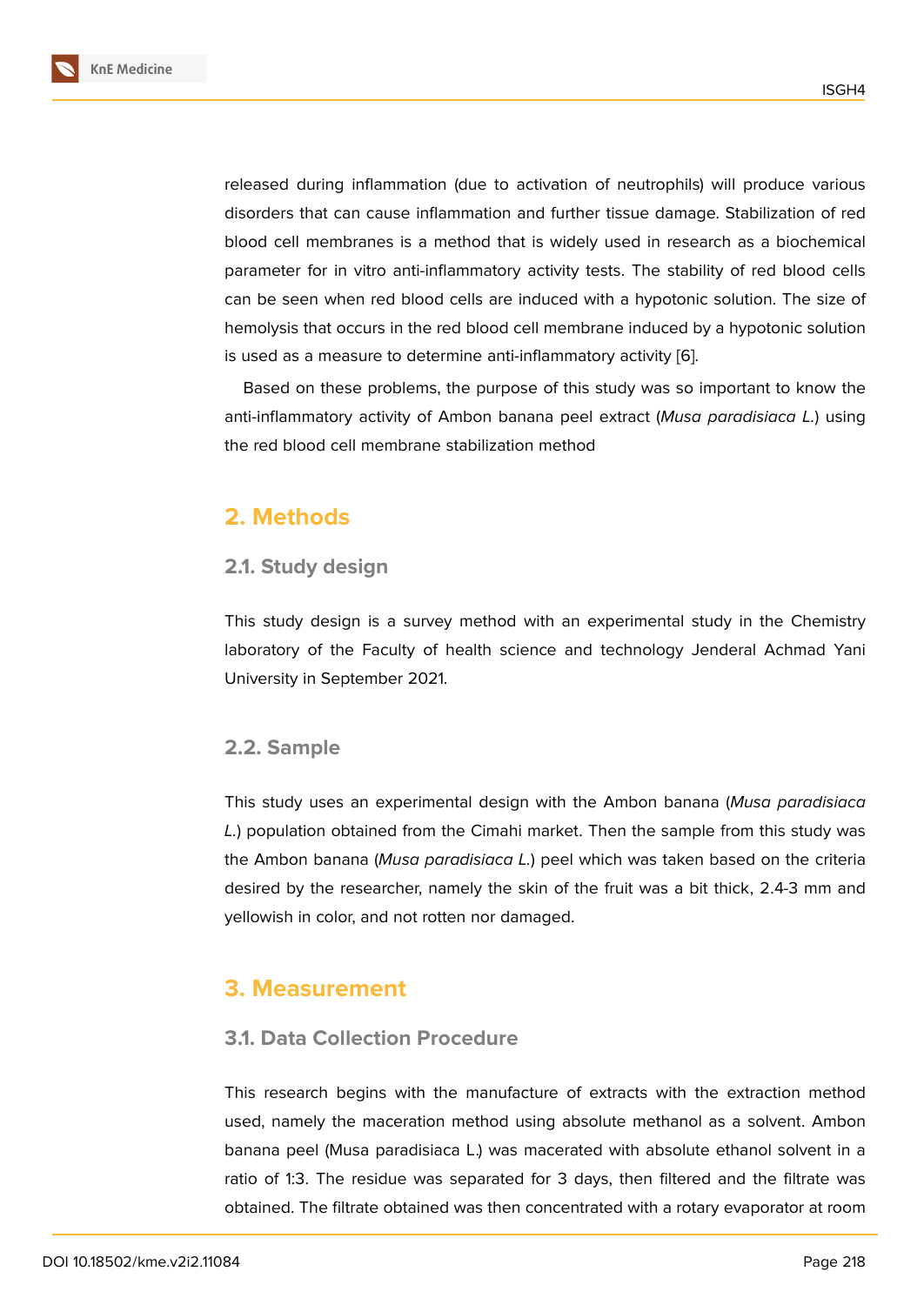released during inflammation (due to activation of neutrophils) will produce various disorders that can cause inflammation and further tissue damage. Stabilization of red blood cell membranes is a method that is widely used in research as a biochemical parameter for in vitro anti-inflammatory activity tests. The stability of red blood cells can be seen when red blood cells are induced with a hypotonic solution. The size of hemolysis that occurs in the red blood cell membrane induced by a hypotonic solution is used as a measure to determine anti-inflammatory activity [6].

Based on these problems, the purpose of this study was so important to know the anti-inflammatory activity of Ambon banana peel extract (*Musa paradisiaca L.*) using the red blood cell membrane stabilization method

### **2. Methods**

### **2.1. Study design**

This study design is a survey method with an experimental study in the Chemistry laboratory of the Faculty of health science and technology Jenderal Achmad Yani University in September 2021.

### **2.2. Sample**

This study uses an experimental design with the Ambon banana (*Musa paradisiaca L.*) population obtained from the Cimahi market. Then the sample from this study was the Ambon banana (*Musa paradisiaca L.*) peel which was taken based on the criteria desired by the researcher, namely the skin of the fruit was a bit thick, 2.4-3 mm and yellowish in color, and not rotten nor damaged.

# **3. Measurement**

### **3.1. Data Collection Procedure**

This research begins with the manufacture of extracts with the extraction method used, namely the maceration method using absolute methanol as a solvent. Ambon banana peel (Musa paradisiaca L.) was macerated with absolute ethanol solvent in a ratio of 1:3. The residue was separated for 3 days, then filtered and the filtrate was obtained. The filtrate obtained was then concentrated with a rotary evaporator at room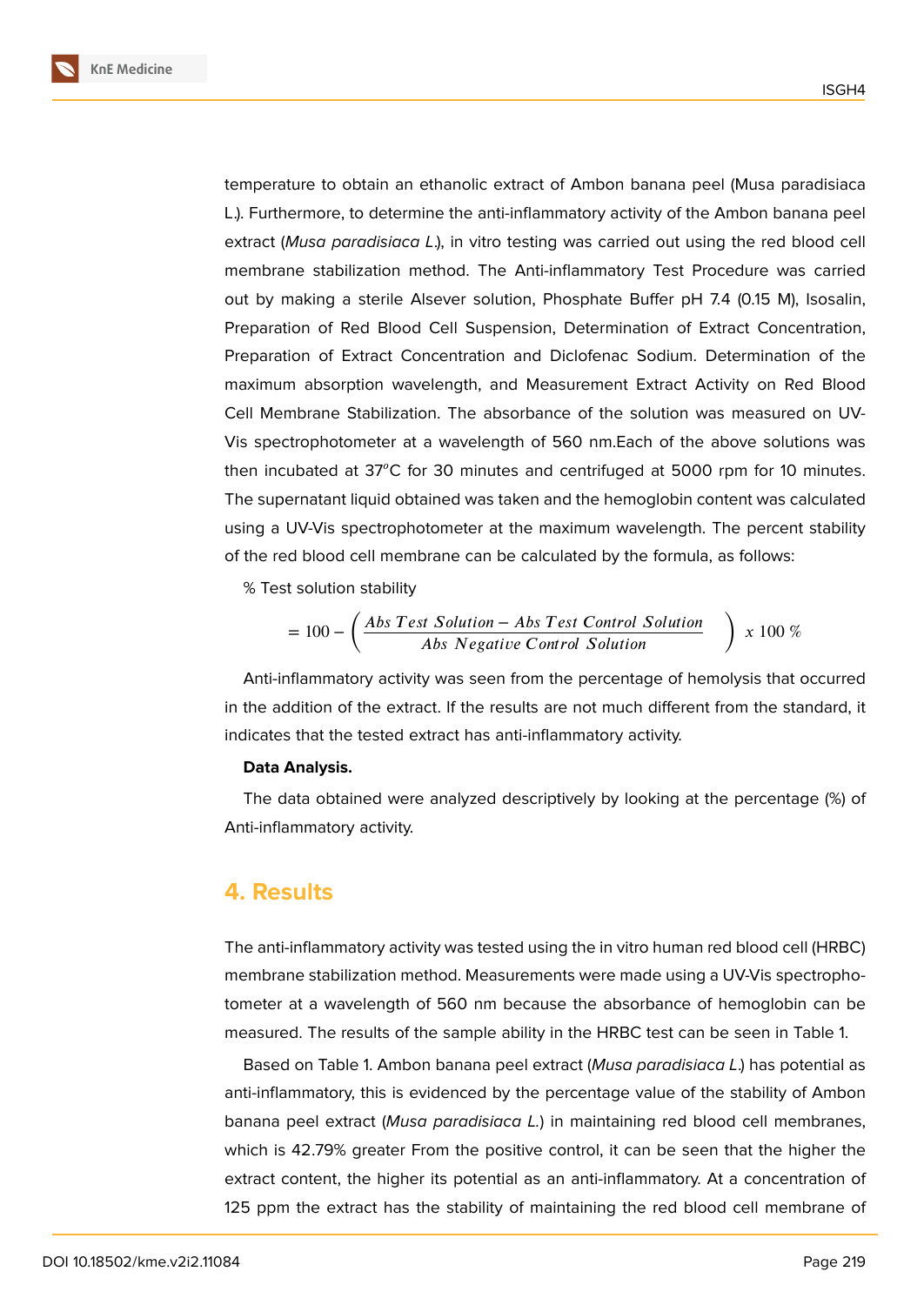**KnE Medicine**

temperature to obtain an ethanolic extract of Ambon banana peel (Musa paradisiaca L.). Furthermore, to determine the anti-inflammatory activity of the Ambon banana peel extract (*Musa paradisiaca L*.), in vitro testing was carried out using the red blood cell membrane stabilization method. The Anti-inflammatory Test Procedure was carried out by making a sterile Alsever solution, Phosphate Buffer pH 7.4 (0.15 M), Isosalin, Preparation of Red Blood Cell Suspension, Determination of Extract Concentration, Preparation of Extract Concentration and Diclofenac Sodium. Determination of the maximum absorption wavelength, and Measurement Extract Activity on Red Blood Cell Membrane Stabilization. The absorbance of the solution was measured on UV-Vis spectrophotometer at a wavelength of 560 nm.Each of the above solutions was then incubated at  $37^{\circ}$ C for 30 minutes and centrifuged at 5000 rpm for 10 minutes. The supernatant liquid obtained was taken and the hemoglobin content was calculated using a UV-Vis spectrophotometer at the maximum wavelength. The percent stability of the red blood cell membrane can be calculated by the formula, as follows:

% Test solution stability

$$
= 100 - \left(\frac{Abs Test Solution - Abs Test Control Solution}{Abs Negative Control Solution}\right) \times 100\%
$$

Anti-inflammatory activity was seen from the percentage of hemolysis that occurred in the addition of the extract. If the results are not much different from the standard, it indicates that the tested extract has anti-inflammatory activity.

#### **Data Analysis.**

The data obtained were analyzed descriptively by looking at the percentage (%) of Anti-inflammatory activity.

### **4. Results**

The anti-inflammatory activity was tested using the in vitro human red blood cell (HRBC) membrane stabilization method. Measurements were made using a UV-Vis spectrophotometer at a wavelength of 560 nm because the absorbance of hemoglobin can be measured. The results of the sample ability in the HRBC test can be seen in Table 1.

Based on Table 1. Ambon banana peel extract (*Musa paradisiaca L*.) has potential as anti-inflammatory, this is evidenced by the percentage value of the stability of Ambon banana peel extract (*Musa paradisiaca L.*) in maintaining red blood cell membranes, which is 42.79% greater From the positive control, it can be seen that the higher the extract content, the higher its potential as an anti-inflammatory. At a concentration of 125 ppm the extract has the stability of maintaining the red blood cell membrane of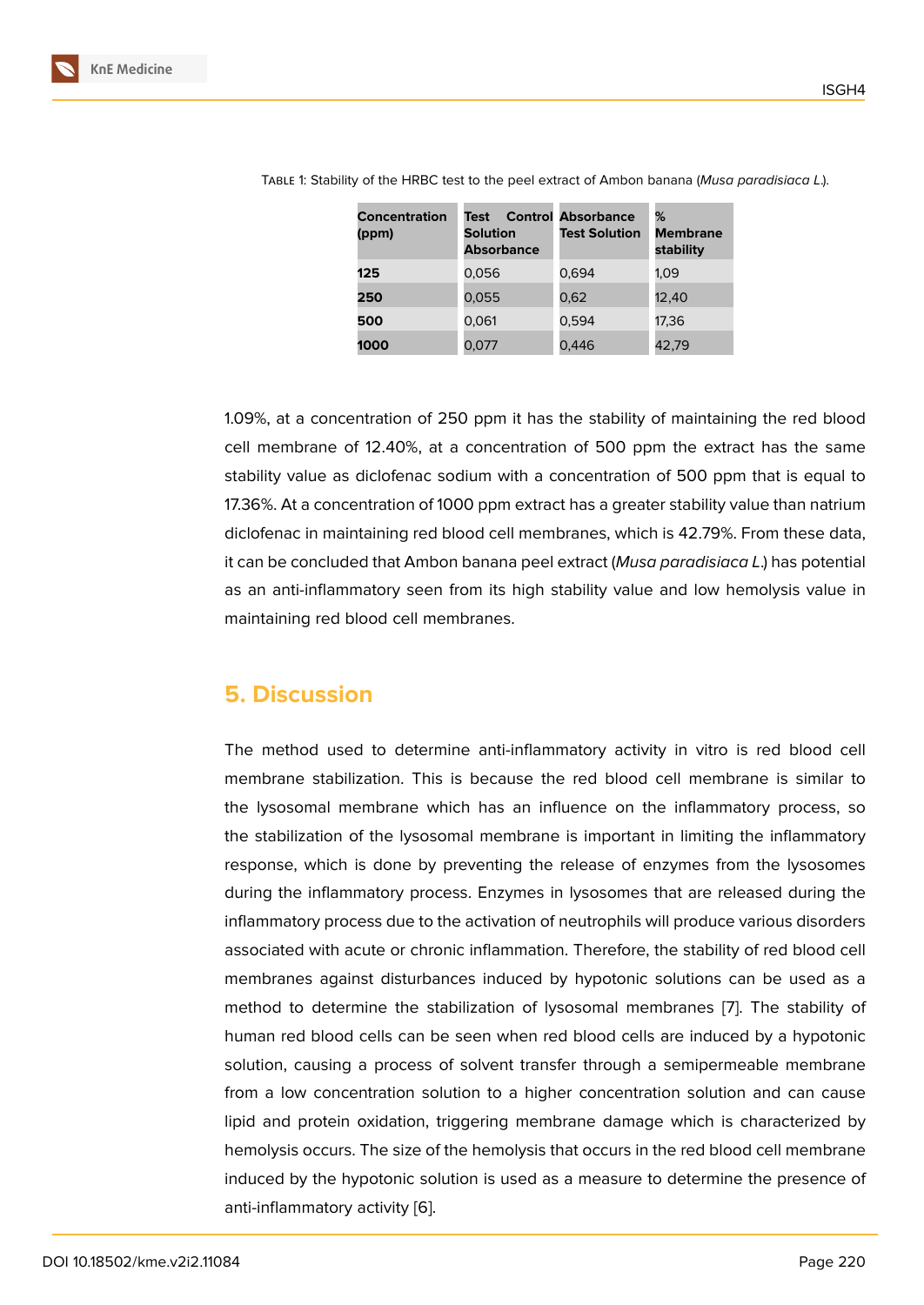| <b>Concentration</b><br>(ppm) | Test<br><b>Solution</b><br><b>Absorbance</b> | <b>Control Absorbance</b><br><b>Test Solution</b> | %<br><b>Membrane</b><br>stability |
|-------------------------------|----------------------------------------------|---------------------------------------------------|-----------------------------------|
| 125                           | 0,056                                        | 0.694                                             | 1.09                              |
| 250                           | 0,055                                        | 0,62                                              | 12.40                             |
| 500                           | 0,061                                        | 0,594                                             | 17,36                             |
| 1000                          | 0.077                                        | 0,446                                             | 42,79                             |

Table 1: Stability of the HRBC test to the peel extract of Ambon banana (*Musa paradisiaca L*.).

1.09%, at a concentration of 250 ppm it has the stability of maintaining the red blood cell membrane of 12.40%, at a concentration of 500 ppm the extract has the same stability value as diclofenac sodium with a concentration of 500 ppm that is equal to 17.36%. At a concentration of 1000 ppm extract has a greater stability value than natrium diclofenac in maintaining red blood cell membranes, which is 42.79%. From these data, it can be concluded that Ambon banana peel extract (*Musa paradisiaca L*.) has potential as an anti-inflammatory seen from its high stability value and low hemolysis value in maintaining red blood cell membranes.

### **5. Discussion**

The method used to determine anti-inflammatory activity in vitro is red blood cell membrane stabilization. This is because the red blood cell membrane is similar to the lysosomal membrane which has an influence on the inflammatory process, so the stabilization of the lysosomal membrane is important in limiting the inflammatory response, which is done by preventing the release of enzymes from the lysosomes during the inflammatory process. Enzymes in lysosomes that are released during the inflammatory process due to the activation of neutrophils will produce various disorders associated with acute or chronic inflammation. Therefore, the stability of red blood cell membranes against disturbances induced by hypotonic solutions can be used as a method to determine the stabilization of lysosomal membranes [7]. The stability of human red blood cells can be seen when red blood cells are induced by a hypotonic solution, causing a process of solvent transfer through a semipermeable membrane from a low concentration solution to a higher concentration solut[io](#page-7-0)n and can cause lipid and protein oxidation, triggering membrane damage which is characterized by hemolysis occurs. The size of the hemolysis that occurs in the red blood cell membrane induced by the hypotonic solution is used as a measure to determine the presence of anti-inflammatory activity [6].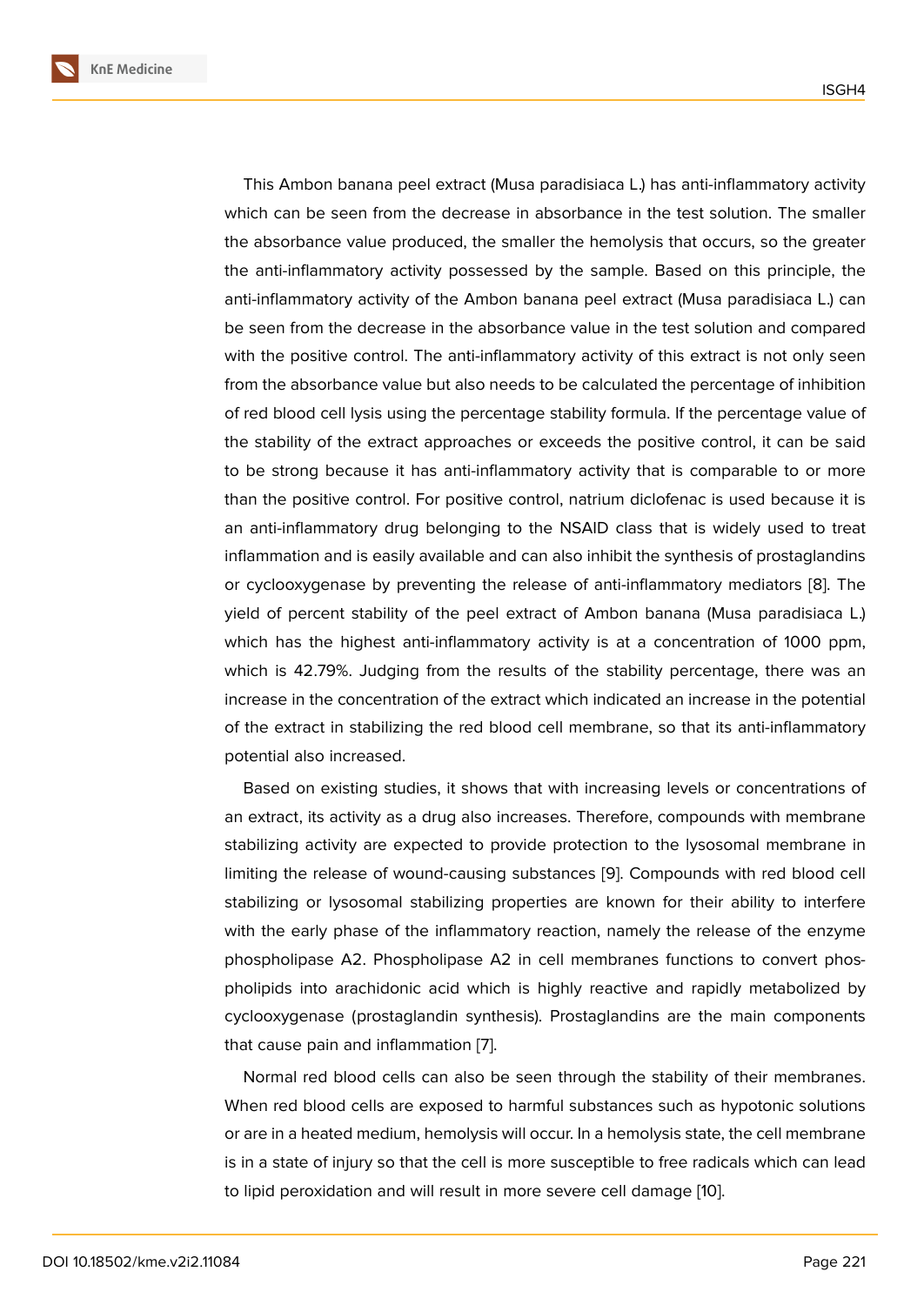This Ambon banana peel extract (Musa paradisiaca L.) has anti-inflammatory activity which can be seen from the decrease in absorbance in the test solution. The smaller the absorbance value produced, the smaller the hemolysis that occurs, so the greater the anti-inflammatory activity possessed by the sample. Based on this principle, the anti-inflammatory activity of the Ambon banana peel extract (Musa paradisiaca L.) can be seen from the decrease in the absorbance value in the test solution and compared with the positive control. The anti-inflammatory activity of this extract is not only seen from the absorbance value but also needs to be calculated the percentage of inhibition of red blood cell lysis using the percentage stability formula. If the percentage value of the stability of the extract approaches or exceeds the positive control, it can be said to be strong because it has anti-inflammatory activity that is comparable to or more than the positive control. For positive control, natrium diclofenac is used because it is an anti-inflammatory drug belonging to the NSAID class that is widely used to treat inflammation and is easily available and can also inhibit the synthesis of prostaglandins or cyclooxygenase by preventing the release of anti-inflammatory mediators [8]. The yield of percent stability of the peel extract of Ambon banana (Musa paradisiaca L.) which has the highest anti-inflammatory activity is at a concentration of 1000 ppm, which is 42.79%. Judging from the results of the stability percentage, there [w](#page-7-1)as an increase in the concentration of the extract which indicated an increase in the potential of the extract in stabilizing the red blood cell membrane, so that its anti-inflammatory potential also increased.

Based on existing studies, it shows that with increasing levels or concentrations of an extract, its activity as a drug also increases. Therefore, compounds with membrane stabilizing activity are expected to provide protection to the lysosomal membrane in limiting the release of wound-causing substances [9]. Compounds with red blood cell stabilizing or lysosomal stabilizing properties are known for their ability to interfere with the early phase of the inflammatory reaction, namely the release of the enzyme phospholipase A2. Phospholipase A2 in cell me[mb](#page-7-2)ranes functions to convert phospholipids into arachidonic acid which is highly reactive and rapidly metabolized by cyclooxygenase (prostaglandin synthesis). Prostaglandins are the main components that cause pain and inflammation [7].

Normal red blood cells can also be seen through the stability of their membranes. When red blood cells are exposed to harmful substances such as hypotonic solutions or are in a heated medium, hemoly[si](#page-7-0)s will occur. In a hemolysis state, the cell membrane is in a state of injury so that the cell is more susceptible to free radicals which can lead to lipid peroxidation and will result in more severe cell damage [10].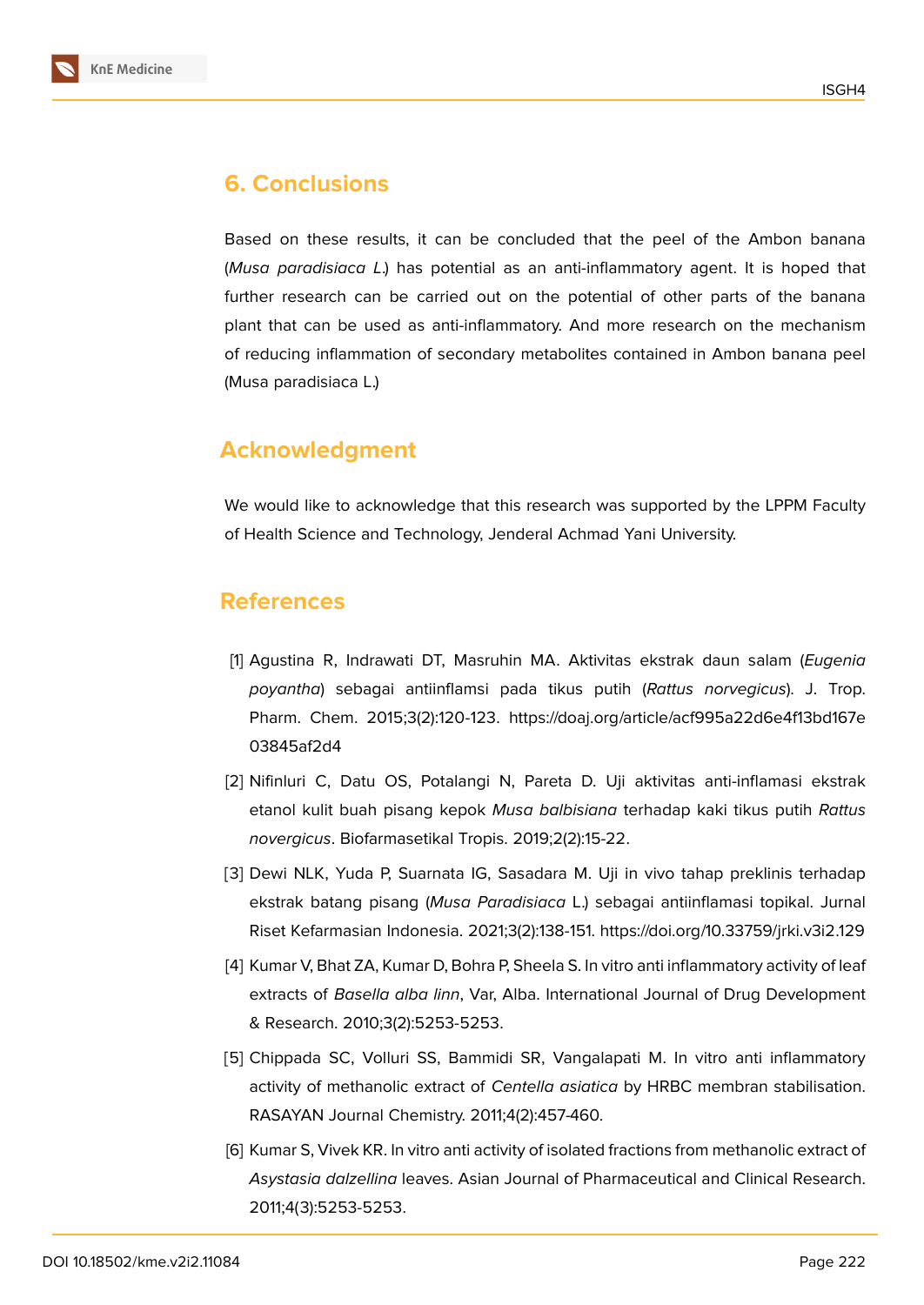

# **6. Conclusions**

Based on these results, it can be concluded that the peel of the Ambon banana (*Musa paradisiaca L*.) has potential as an anti-inflammatory agent. It is hoped that further research can be carried out on the potential of other parts of the banana plant that can be used as anti-inflammatory. And more research on the mechanism of reducing inflammation of secondary metabolites contained in Ambon banana peel (Musa paradisiaca L.)

# **Acknowledgment**

We would like to acknowledge that this research was supported by the LPPM Faculty of Health Science and Technology, Jenderal Achmad Yani University.

### **References**

- <span id="page-6-0"></span>[1] Agustina R, Indrawati DT, Masruhin MA. Aktivitas ekstrak daun salam (*Eugenia poyantha*) sebagai antiinflamsi pada tikus putih (*Rattus norvegicus*). J. Trop. Pharm. Chem. 2015;3(2):120-123. https://doaj.org/article/acf995a22d6e4f13bd167e 03845af2d4
- <span id="page-6-1"></span>[2] Nifinluri C, Datu OS, Potalangi N, Pareta D. Uji aktivitas anti-inflamasi ekstrak etanol kulit buah pisang kepok *Musa balbisiana* terhadap kaki tikus putih *Rattus novergicus*. Biofarmasetikal Tropis. 2019;2(2):15-22.
- [3] Dewi NLK, Yuda P, Suarnata IG, Sasadara M. Uji in vivo tahap preklinis terhadap ekstrak batang pisang (*Musa Paradisiaca* L.) sebagai antiinflamasi topikal. Jurnal Riset Kefarmasian Indonesia. 2021;3(2):138-151. https://doi.org/10.33759/jrki.v3i2.129
- [4] Kumar V, Bhat ZA, Kumar D, Bohra P, Sheela S. In vitro anti inflammatory activity of leaf extracts of *Basella alba linn*, Var, Alba. International Journal of Drug Development & Research. 2010;3(2):5253-5253.
- [5] Chippada SC, Volluri SS, Bammidi SR, Vangalapati M. In vitro anti inflammatory activity of methanolic extract of *Centella asiatica* by HRBC membran stabilisation. RASAYAN Journal Chemistry. 2011;4(2):457-460.
- [6] Kumar S, Vivek KR. In vitro anti activity of isolated fractions from methanolic extract of *Asystasia dalzellina* leaves. Asian Journal of Pharmaceutical and Clinical Research. 2011;4(3):5253-5253.